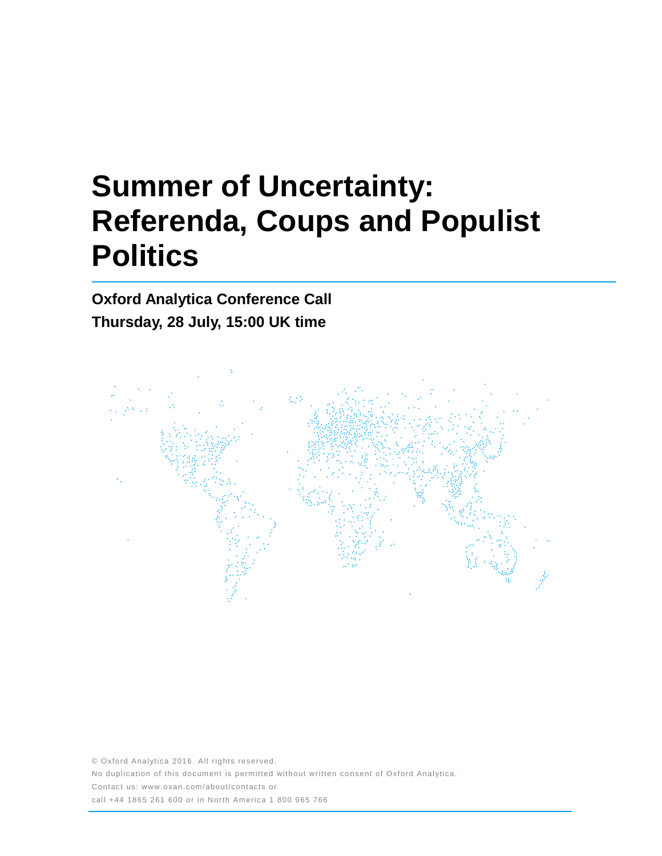# **Summer of Uncertainty: Referenda, Coups and Populist Politics**

**Oxford Analytica Conference Call Thursday, 28 July, 15:00 UK time**



© Oxford Analytica 2016. All rights reserved. No duplication of this document is permitted without written consent of Oxford Analytica. Contact us: www.oxan.com/about/contacts or call +44 1865 261 600 or in North America 1 800 965 766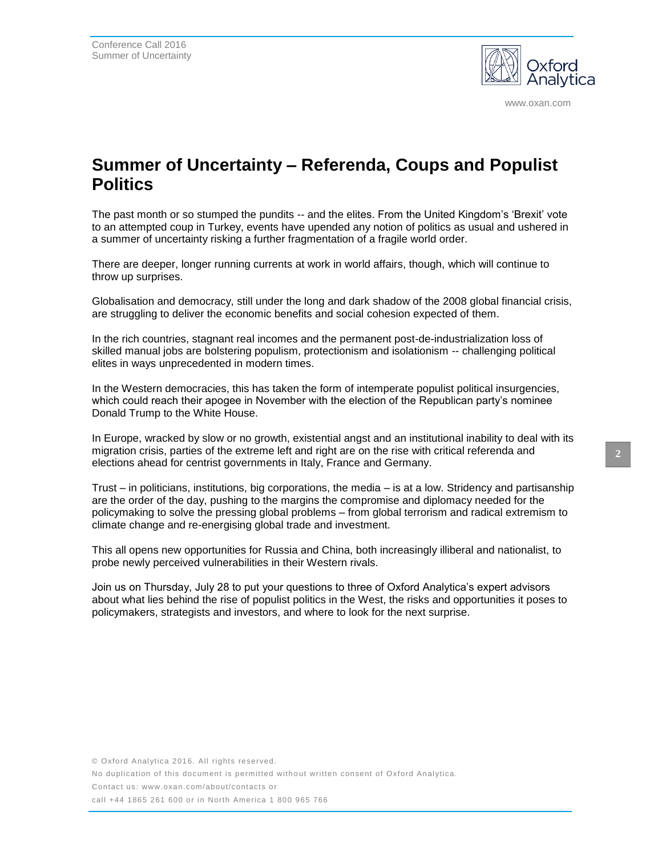

www.oxan.com

## **Summer of Uncertainty – Referenda, Coups and Populist Politics**

The past month or so stumped the pundits -- and the elites. From the United Kingdom's 'Brexit' vote to an attempted coup in Turkey, events have upended any notion of politics as usual and ushered in a summer of uncertainty risking a further fragmentation of a fragile world order.

There are deeper, longer running currents at work in world affairs, though, which will continue to throw up surprises.

Globalisation and democracy, still under the long and dark shadow of the 2008 global financial crisis, are struggling to deliver the economic benefits and social cohesion expected of them.

In the rich countries, stagnant real incomes and the permanent post-de-industrialization loss of skilled manual jobs are bolstering populism, protectionism and isolationism -- challenging political elites in ways unprecedented in modern times.

In the Western democracies, this has taken the form of intemperate populist political insurgencies, which could reach their apogee in November with the election of the Republican party's nominee Donald Trump to the White House.

In Europe, wracked by slow or no growth, existential angst and an institutional inability to deal with its migration crisis, parties of the extreme left and right are on the rise with critical referenda and elections ahead for centrist governments in Italy, France and Germany.

Trust – in politicians, institutions, big corporations, the media – is at a low. Stridency and partisanship are the order of the day, pushing to the margins the compromise and diplomacy needed for the policymaking to solve the pressing global problems – from global terrorism and radical extremism to climate change and re-energising global trade and investment.

This all opens new opportunities for Russia and China, both increasingly illiberal and nationalist, to probe newly perceived vulnerabilities in their Western rivals.

Join us on Thursday, July 28 to put your questions to three of Oxford Analytica's expert advisors about what lies behind the rise of populist politics in the West, the risks and opportunities it poses to policymakers, strategists and investors, and where to look for the next surprise.

No duplication of this document is permitted without written consent of Oxford Analytica.

Contact us: www.oxan.com/about/contacts or

call +44 1865 261 600 or in North America 1 800 965 766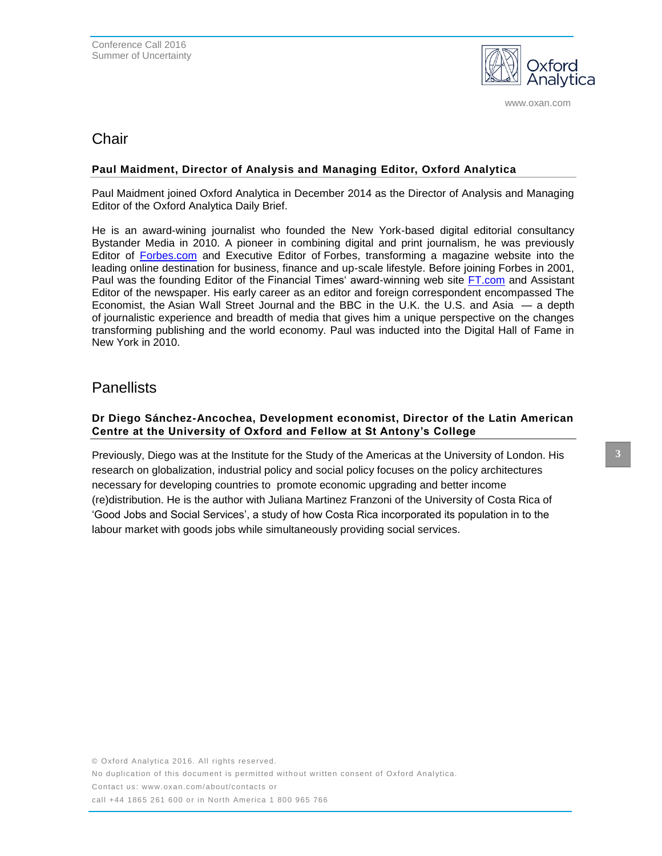

www.oxan.com

## **Chair**

### **Paul Maidment, Director of Analysis and Managing Editor, Oxford Analytica**

Paul Maidment joined Oxford Analytica in December 2014 as the Director of Analysis and Managing Editor of the Oxford Analytica Daily Brief.

He is an award-wining journalist who founded the New York-based digital editorial consultancy Bystander Media in 2010. A pioneer in combining digital and print journalism, he was previously Editor of [Forbes.com](http://forbes.com/) and Executive Editor of Forbes, transforming a magazine website into the leading online destination for business, finance and up-scale lifestyle. Before joining Forbes in 2001, Paul was the founding Editor of the Financial Times' award-winning web site [FT.com](http://ft.com/) and Assistant Editor of the newspaper. His early career as an editor and foreign correspondent encompassed The Economist, the Asian Wall Street Journal and the BBC in the U.K. the U.S. and Asia — a depth of journalistic experience and breadth of media that gives him a unique perspective on the changes transforming publishing and the world economy. Paul was inducted into the Digital Hall of Fame in New York in 2010.

## **Panellists**

## **Dr Diego Sánchez-Ancochea, Development economist, Director of the Latin American Centre at the University of Oxford and Fellow at St Antony's College**

Previously, Diego was at the Institute for the Study of the Americas at the University of London. His research on globalization, industrial policy and social policy focuses on the policy architectures necessary for developing countries to promote economic upgrading and better income (re)distribution. He is the author with Juliana Martinez Franzoni of the University of Costa Rica of 'Good Jobs and Social Services', a study of how Costa Rica incorporated its population in to the labour market with goods jobs while simultaneously providing social services.